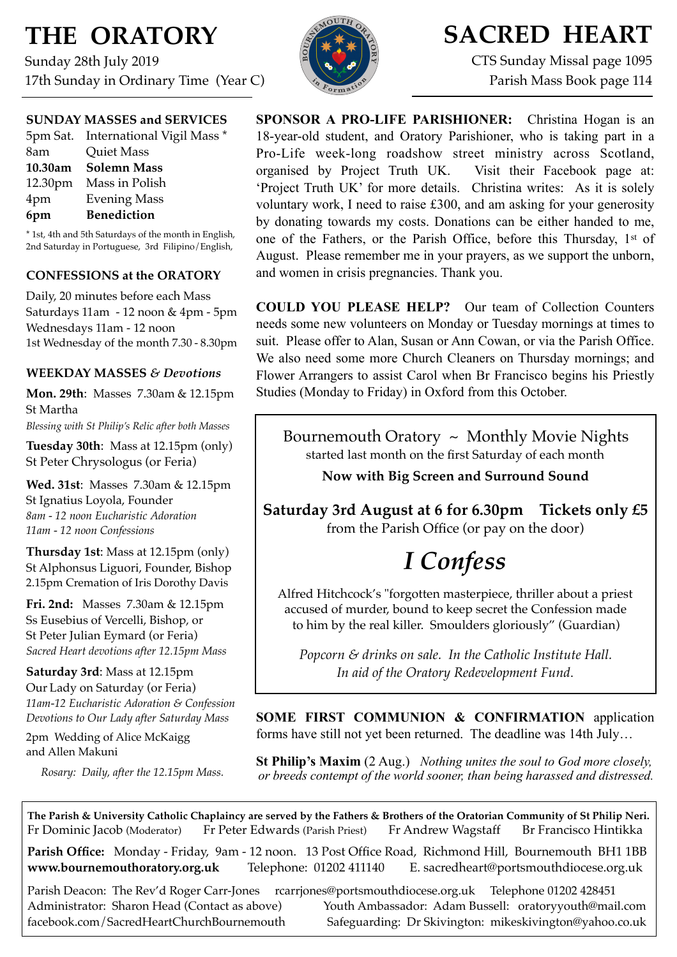# **THE ORATORY**

Sunday 28th July 2019 17th Sunday in Ordinary Time (Year C)



# **SACRED HEART**

CTS Sunday Missal page 1095 Parish Mass Book page 114

| <b>SUNDAY MASSES and SERVICES</b> |  |
|-----------------------------------|--|
|-----------------------------------|--|

|     | 5pm Sat. International Vigil Mass * |
|-----|-------------------------------------|
| 8am | <b>Quiet Mass</b>                   |
|     | 10.30am Solemn Mass                 |
|     | 12.30pm Mass in Polish              |
| 4pm | <b>Evening Mass</b>                 |
| 6pm | <b>Benediction</b>                  |

\* 1st, 4th and 5th Saturdays of the month in English, 2nd Saturday in Portuguese, 3rd Filipino/English,

### **CONFESSIONS at the ORATORY**

Daily, 20 minutes before each Mass Saturdays 11am - 12 noon & 4pm - 5pm Wednesdays 11am - 12 noon 1st Wednesday of the month 7.30 - 8.30pm

### **WEEKDAY MASSES** *& Devotions*

**Mon. 29th**: Masses 7.30am & 12.15pm St Martha

*Blessing with St Philip's Relic after both Masses*

**Tuesday 30th**: Mass at 12.15pm (only) St Peter Chrysologus (or Feria)

**Wed. 31st**: Masses7.30am & 12.15pm St Ignatius Loyola, Founder *8am - 12 noon Eucharistic Adoration 11am - 12 noon Confessions*

**Thursday 1st**: Mass at 12.15pm (only) St Alphonsus Liguori, Founder, Bishop 2.15pm Cremation of Iris Dorothy Davis

**Fri. 2nd:** Masses 7.30am & 12.15pm Ss Eusebius of Vercelli, Bishop, or St Peter Julian Eymard (or Feria) *Sacred Heart devotions after 12.15pm Mass*

**Saturday 3rd**: Mass at 12.15pm Our Lady on Saturday (or Feria) *11am-12 Eucharistic Adoration & Confession Devotions to Our Lady after Saturday Mass*

2pm Wedding of Alice McKaigg and Allen Makuni

*Rosary: Daily, after the 12.15pm Mass.*

**SPONSOR A PRO-LIFE PARISHIONER:** Christina Hogan is an 18-year-old student, and Oratory Parishioner, who is taking part in a Pro-Life week-long roadshow street ministry across Scotland, organised by Project Truth UK. Visit their Facebook page at: 'Project Truth UK' for more details. Christina writes: As it is solely voluntary work, I need to raise £300, and am asking for your generosity by donating towards my costs. Donations can be either handed to me, one of the Fathers, or the Parish Office, before this Thursday, 1st of August. Please remember me in your prayers, as we support the unborn, and women in crisis pregnancies. Thank you.

**COULD YOU PLEASE HELP?** Our team of Collection Counters needs some new volunteers on Monday or Tuesday mornings at times to suit. Please offer to Alan, Susan or Ann Cowan, or via the Parish Office. We also need some more Church Cleaners on Thursday mornings; and Flower Arrangers to assist Carol when Br Francisco begins his Priestly Studies (Monday to Friday) in Oxford from this October.

Bournemouth Oratory  $\sim$  Monthly Movie Nights started last month on the first Saturday of each month

### **Now with Big Screen and Surround Sound**

**Saturday 3rd August at 6 for 6.30pm Tickets only £5** from the Parish Office (or pay on the door)

# *I Confess*

Alfred Hitchcock's "forgotten masterpiece, thriller about a priest accused of murder, bound to keep secret the Confession made to him by the real killer. Smoulders gloriously" (Guardian)

*Popcorn & drinks on sale. In the Catholic Institute Hall. In aid of the Oratory Redevelopment Fund*.

**SOME FIRST COMMUNION & CONFIRMATION** application forms have still not yet been returned. The deadline was 14th July…

**St Philip's Maxim** (2 Aug.) *Nothing unites the soul to God more closely, or breeds contempt of the world sooner, than being harassed and distressed.*

**The Parish & University Catholic Chaplaincy are served by the Fathers & Brothers of the Oratorian Community of St Philip Neri.** Fr Dominic Jacob (Moderator) Fr Peter Edwards (Parish Priest) Fr Andrew Wagstaff Br Francisco Hintikka

**Parish Office:** Monday - Friday, 9am - 12 noon. 13 Post Office Road, Richmond Hill, Bournemouth BH1 1BB **[www.bournemouthoratory.org.uk](http://www.bournemoithoratory.org.uk)** Telephone: 01202 411140 E. [sacredheart@portsmouthdiocese.org.uk](mailto:sacredheart@portsmouthdiocese.org.uk)

Parish Deacon: The Rev'd Roger Carr-Jones [rcarrjones@portsmouthdiocese.org.uk](mailto:rcarrjones@portsmouthdiocese.org.uk) Telephone 01202 428451 Administrator: Sharon Head (Contact as above) Youth Ambassador: Adam Bussell: [oratoryyouth@mail.com](http://oratoryyouth.mail.com) [facebook.com/SacredHeartChurchBournemouth](http://facebook.com/SaccredHeartChurchBournemouth) Safeguarding: Dr Skivington: mikeskivington@yahoo.co.uk